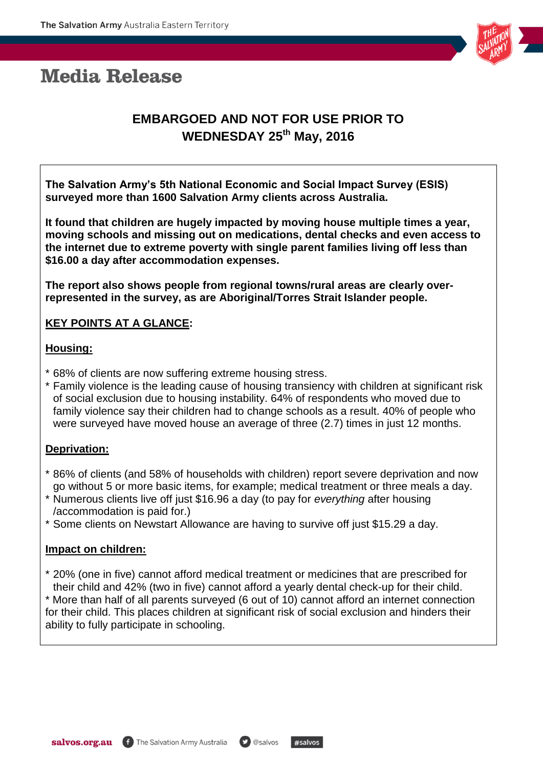# **Media Release**



# **EMBARGOED AND NOT FOR USE PRIOR TO WEDNESDAY 25th May, 2016**

**The Salvation Army's 5th National Economic and Social Impact Survey (ESIS) surveyed more than 1600 Salvation Army clients across Australia.** 

**It found that children are hugely impacted by moving house multiple times a year, moving schools and missing out on medications, dental checks and even access to the internet due to extreme poverty with single parent families living off less than \$16.00 a day after accommodation expenses.** 

**The report also shows people from regional towns/rural areas are clearly overrepresented in the survey, as are Aboriginal/Torres Strait Islander people.**

## **KEY POINTS AT A GLANCE:**

#### **Housing:**

- \* 68% of clients are now suffering extreme housing stress.
- \* Family violence is the leading cause of housing transiency with children at significant risk of social exclusion due to housing instability. 64% of respondents who moved due to family violence say their children had to change schools as a result. 40% of people who were surveyed have moved house an average of three (2.7) times in just 12 months.

#### **Deprivation:**

- \* 86% of clients (and 58% of households with children) report severe deprivation and now go without 5 or more basic items, for example; medical treatment or three meals a day.
- \* Numerous clients live off just \$16.96 a day (to pay for *everything* after housing /accommodation is paid for.)
- \* Some clients on Newstart Allowance are having to survive off just \$15.29 a day.

#### **Impact on children:**

\* 20% (one in five) cannot afford medical treatment or medicines that are prescribed for their child and 42% (two in five) cannot afford a yearly dental check-up for their child.

\* More than half of all parents surveyed (6 out of 10) cannot afford an internet connection for their child. This places children at significant risk of social exclusion and hinders their ability to fully participate in schooling.

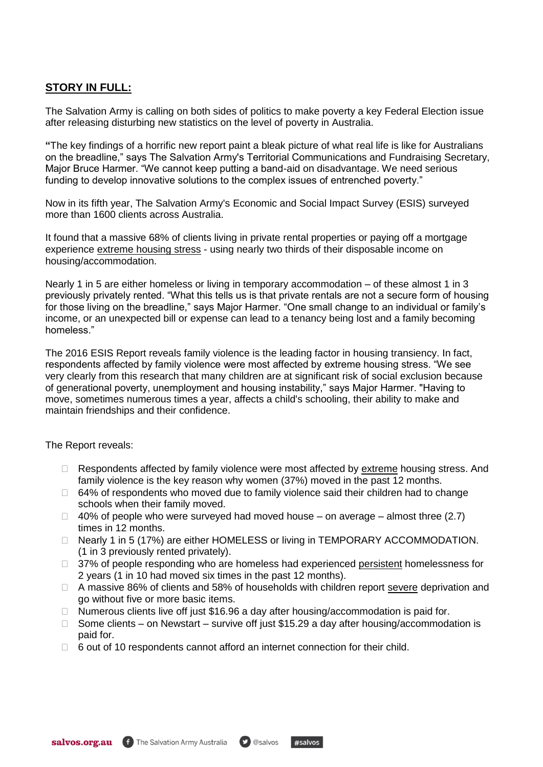### **STORY IN FULL:**

The Salvation Army is calling on both sides of politics to make poverty a key Federal Election issue after releasing disturbing new statistics on the level of poverty in Australia.

**"**The key findings of a horrific new report paint a bleak picture of what real life is like for Australians on the breadline," says The Salvation Army's Territorial Communications and Fundraising Secretary, Major Bruce Harmer. "We cannot keep putting a band-aid on disadvantage. We need serious funding to develop innovative solutions to the complex issues of entrenched poverty."

Now in its fifth year, The Salvation Army's Economic and Social Impact Survey (ESIS) surveyed more than 1600 clients across Australia.

It found that a massive 68% of clients living in private rental properties or paying off a mortgage experience extreme housing stress - using nearly two thirds of their disposable income on housing/accommodation.

Nearly 1 in 5 are either homeless or living in temporary accommodation – of these almost 1 in 3 previously privately rented. "What this tells us is that private rentals are not a secure form of housing for those living on the breadline," says Major Harmer. "One small change to an individual or family's income, or an unexpected bill or expense can lead to a tenancy being lost and a family becoming homeless."

The 2016 ESIS Report reveals family violence is the leading factor in housing transiency. In fact, respondents affected by family violence were most affected by extreme housing stress. "We see very clearly from this research that many children are at significant risk of social exclusion because of generational poverty, unemployment and housing instability," says Major Harmer. "Having to move, sometimes numerous times a year, affects a child's schooling, their ability to make and maintain friendships and their confidence.

The Report reveals:

- $\Box$  Respondents affected by family violence were most affected by  $ext{extreme}$  housing stress. And family violence is the key reason why women (37%) moved in the past 12 months.
- $\Box$  64% of respondents who moved due to family violence said their children had to change schools when their family moved.
- $\Box$  40% of people who were surveyed had moved house on average almost three (2.7) times in 12 months.
- □ Nearly 1 in 5 (17%) are either HOMELESS or living in TEMPORARY ACCOMMODATION. (1 in 3 previously rented privately).
- □ 37% of people responding who are homeless had experienced persistent homelessness for 2 years (1 in 10 had moved six times in the past 12 months).
- □ A massive 86% of clients and 58% of households with children report severe deprivation and go without five or more basic items.
- $\Box$  Numerous clients live off just \$16.96 a day after housing/accommodation is paid for.
- $\Box$  Some clients on Newstart survive off just \$15.29 a dav after housing/accommodation is paid for.

 $*$ salvos

 $\Box$  6 out of 10 respondents cannot afford an internet connection for their child.